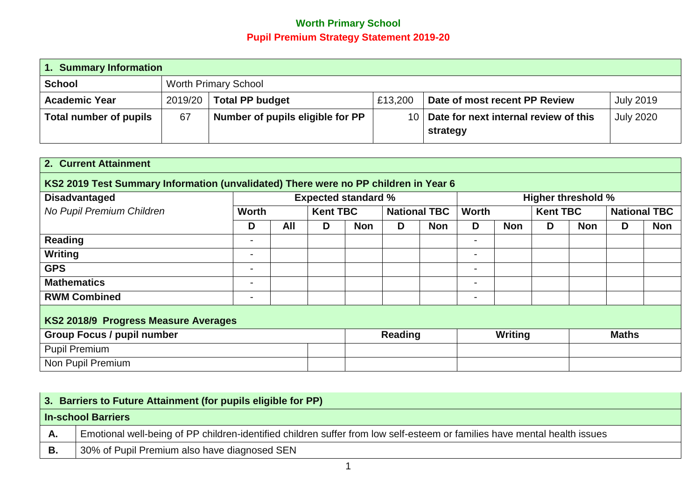## **Worth Primary School Pupil Premium Strategy Statement 2019-20**

| 1. Summary Information |                             |                                  |         |                                       |                  |  |  |
|------------------------|-----------------------------|----------------------------------|---------|---------------------------------------|------------------|--|--|
| <b>School</b>          | <b>Worth Primary School</b> |                                  |         |                                       |                  |  |  |
| <b>Academic Year</b>   | 2019/20                     | <b>Total PP budget</b>           | £13,200 | Date of most recent PP Review         | <b>July 2019</b> |  |  |
| Total number of pupils | 67                          | Number of pupils eligible for PP | 10      | Date for next internal review of this | <b>July 2020</b> |  |  |
|                        |                             |                                  |         | strategy                              |                  |  |  |

| 2. Current Attainment                                                               |                          |     |                            |            |                |                     |                          |            |                 |                           |   |                     |
|-------------------------------------------------------------------------------------|--------------------------|-----|----------------------------|------------|----------------|---------------------|--------------------------|------------|-----------------|---------------------------|---|---------------------|
| KS2 2019 Test Summary Information (unvalidated) There were no PP children in Year 6 |                          |     |                            |            |                |                     |                          |            |                 |                           |   |                     |
| <b>Disadvantaged</b>                                                                |                          |     | <b>Expected standard %</b> |            |                |                     |                          |            |                 | <b>Higher threshold %</b> |   |                     |
| No Pupil Premium Children                                                           | <b>Worth</b>             |     | <b>Kent TBC</b>            |            |                | <b>National TBC</b> | <b>Worth</b>             |            | <b>Kent TBC</b> |                           |   | <b>National TBC</b> |
|                                                                                     | D                        | All | D                          | <b>Non</b> | D              | <b>Non</b>          | D                        | <b>Non</b> | D               | <b>Non</b>                | D | <b>Non</b>          |
| <b>Reading</b>                                                                      | $\overline{\phantom{a}}$ |     |                            |            |                |                     | $\overline{\phantom{a}}$ |            |                 |                           |   |                     |
| Writing                                                                             | $\overline{\phantom{a}}$ |     |                            |            |                |                     | $\sim$                   |            |                 |                           |   |                     |
| <b>GPS</b>                                                                          | $\overline{\phantom{0}}$ |     |                            |            |                |                     | $\overline{\phantom{0}}$ |            |                 |                           |   |                     |
| <b>Mathematics</b>                                                                  | $\overline{\phantom{0}}$ |     |                            |            |                |                     | $\overline{\phantom{0}}$ |            |                 |                           |   |                     |
| <b>RWM Combined</b>                                                                 | $\overline{\phantom{a}}$ |     |                            |            |                |                     | $\blacksquare$           |            |                 |                           |   |                     |
| KS2 2018/9 Progress Measure Averages                                                |                          |     |                            |            |                |                     |                          |            |                 |                           |   |                     |
| <b>Group Focus / pupil number</b>                                                   |                          |     |                            |            | <b>Reading</b> |                     | Writing                  |            |                 | <b>Maths</b>              |   |                     |
| <b>Pupil Premium</b>                                                                |                          |     |                            |            |                |                     |                          |            |                 |                           |   |                     |
| Non Pupil Premium                                                                   |                          |     |                            |            |                |                     |                          |            |                 |                           |   |                     |

|    | 3. Barriers to Future Attainment (for pupils eligible for PP)                                                             |  |  |  |  |  |
|----|---------------------------------------------------------------------------------------------------------------------------|--|--|--|--|--|
|    | <b>In-school Barriers</b>                                                                                                 |  |  |  |  |  |
| Α. | Emotional well-being of PP children-identified children suffer from low self-esteem or families have mental health issues |  |  |  |  |  |
| В. | 30% of Pupil Premium also have diagnosed SEN                                                                              |  |  |  |  |  |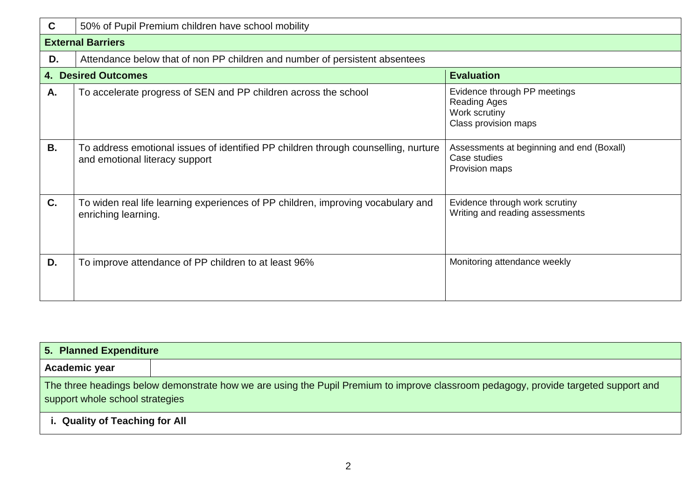| C         | 50% of Pupil Premium children have school mobility                                                                   |                                                                                              |  |  |  |  |  |
|-----------|----------------------------------------------------------------------------------------------------------------------|----------------------------------------------------------------------------------------------|--|--|--|--|--|
|           | <b>External Barriers</b>                                                                                             |                                                                                              |  |  |  |  |  |
| D.        | Attendance below that of non PP children and number of persistent absentees                                          |                                                                                              |  |  |  |  |  |
| 4.        | <b>Desired Outcomes</b>                                                                                              | <b>Evaluation</b>                                                                            |  |  |  |  |  |
| Α.        | To accelerate progress of SEN and PP children across the school                                                      | Evidence through PP meetings<br><b>Reading Ages</b><br>Work scrutiny<br>Class provision maps |  |  |  |  |  |
| <b>B.</b> | To address emotional issues of identified PP children through counselling, nurture<br>and emotional literacy support | Assessments at beginning and end (Boxall)<br>Case studies<br>Provision maps                  |  |  |  |  |  |
| C.        | To widen real life learning experiences of PP children, improving vocabulary and<br>enriching learning.              | Evidence through work scrutiny<br>Writing and reading assessments                            |  |  |  |  |  |
| D.        | To improve attendance of PP children to at least 96%                                                                 | Monitoring attendance weekly                                                                 |  |  |  |  |  |

|                                | 5. Planned Expenditure                                                                                                                                                 |  |  |  |  |  |  |
|--------------------------------|------------------------------------------------------------------------------------------------------------------------------------------------------------------------|--|--|--|--|--|--|
| Academic year                  |                                                                                                                                                                        |  |  |  |  |  |  |
|                                | The three headings below demonstrate how we are using the Pupil Premium to improve classroom pedagogy, provide targeted support and<br>support whole school strategies |  |  |  |  |  |  |
| i. Quality of Teaching for All |                                                                                                                                                                        |  |  |  |  |  |  |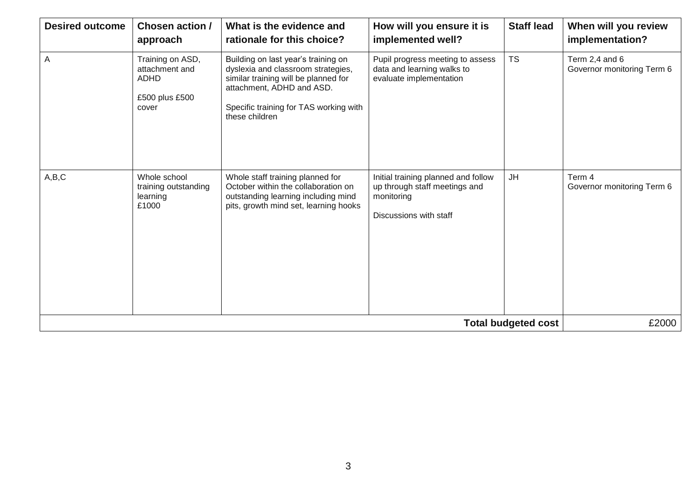| <b>Desired outcome</b> | Chosen action /<br>approach                                                  | What is the evidence and<br>rationale for this choice?                                                                                                                                                     | How will you ensure it is<br>implemented well?                                                               | <b>Staff lead</b>          | When will you review<br>implementation?      |
|------------------------|------------------------------------------------------------------------------|------------------------------------------------------------------------------------------------------------------------------------------------------------------------------------------------------------|--------------------------------------------------------------------------------------------------------------|----------------------------|----------------------------------------------|
| $\overline{A}$         | Training on ASD,<br>attachment and<br><b>ADHD</b><br>£500 plus £500<br>cover | Building on last year's training on<br>dyslexia and classroom strategies,<br>similar training will be planned for<br>attachment, ADHD and ASD.<br>Specific training for TAS working with<br>these children | Pupil progress meeting to assess<br>data and learning walks to<br>evaluate implementation                    | <b>TS</b>                  | Term 2,4 and 6<br>Governor monitoring Term 6 |
| A,B,C                  | Whole school<br>training outstanding<br>learning<br>£1000                    | Whole staff training planned for<br>October within the collaboration on<br>outstanding learning including mind<br>pits, growth mind set, learning hooks                                                    | Initial training planned and follow<br>up through staff meetings and<br>monitoring<br>Discussions with staff | JH                         | Term 4<br>Governor monitoring Term 6         |
|                        |                                                                              |                                                                                                                                                                                                            |                                                                                                              | <b>Total budgeted cost</b> | £2000                                        |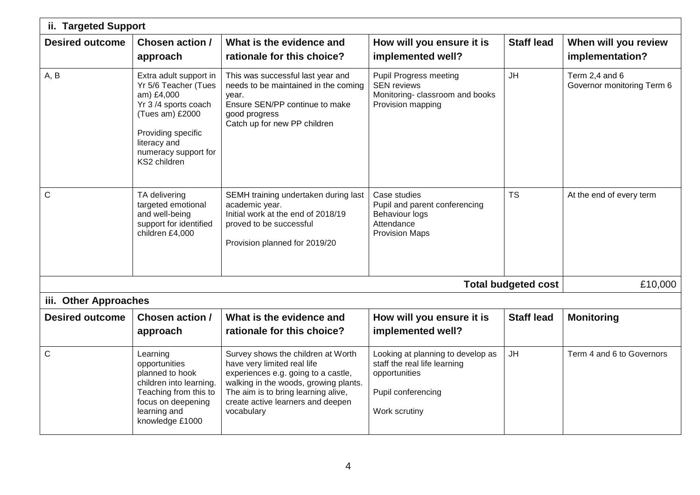| ii. Targeted Support   |                                                                                                                                                                                      |                                                                                                                                                                                                                                             |                                                                                                                           |                            |                                              |  |  |
|------------------------|--------------------------------------------------------------------------------------------------------------------------------------------------------------------------------------|---------------------------------------------------------------------------------------------------------------------------------------------------------------------------------------------------------------------------------------------|---------------------------------------------------------------------------------------------------------------------------|----------------------------|----------------------------------------------|--|--|
| <b>Desired outcome</b> | Chosen action /<br>approach                                                                                                                                                          | What is the evidence and<br>rationale for this choice?                                                                                                                                                                                      | How will you ensure it is<br>implemented well?                                                                            | <b>Staff lead</b>          | When will you review<br>implementation?      |  |  |
| A, B                   | Extra adult support in<br>Yr 5/6 Teacher (Tues<br>am) £4,000<br>Yr 3/4 sports coach<br>(Tues am) £2000<br>Providing specific<br>literacy and<br>numeracy support for<br>KS2 children | This was successful last year and<br>needs to be maintained in the coming<br>year.<br>Ensure SEN/PP continue to make<br>good progress<br>Catch up for new PP children                                                                       | <b>Pupil Progress meeting</b><br><b>SEN reviews</b><br>Monitoring-classroom and books<br>Provision mapping                | <b>JH</b>                  | Term 2,4 and 6<br>Governor monitoring Term 6 |  |  |
| $\mathsf{C}$           | TA delivering<br>targeted emotional<br>and well-being<br>support for identified<br>children £4,000                                                                                   | SEMH training undertaken during last<br>academic year.<br>Initial work at the end of 2018/19<br>proved to be successful<br>Provision planned for 2019/20                                                                                    | Case studies<br>Pupil and parent conferencing<br><b>Behaviour logs</b><br>Attendance<br><b>Provision Maps</b>             | <b>TS</b>                  | At the end of every term                     |  |  |
|                        |                                                                                                                                                                                      |                                                                                                                                                                                                                                             |                                                                                                                           | <b>Total budgeted cost</b> | £10,000                                      |  |  |
| iii. Other Approaches  |                                                                                                                                                                                      |                                                                                                                                                                                                                                             |                                                                                                                           |                            |                                              |  |  |
| <b>Desired outcome</b> | Chosen action /<br>approach                                                                                                                                                          | What is the evidence and<br>rationale for this choice?                                                                                                                                                                                      | How will you ensure it is<br>implemented well?                                                                            | <b>Staff lead</b>          | <b>Monitoring</b>                            |  |  |
| $\mathsf{C}$           | Learning<br>opportunities<br>planned to hook<br>children into learning.<br>Teaching from this to<br>focus on deepening<br>learning and<br>knowledge £1000                            | Survey shows the children at Worth<br>have very limited real life<br>experiences e.g. going to a castle,<br>walking in the woods, growing plants.<br>The aim is to bring learning alive,<br>create active learners and deepen<br>vocabulary | Looking at planning to develop as<br>staff the real life learning<br>opportunities<br>Pupil conferencing<br>Work scrutiny | <b>JH</b>                  | Term 4 and 6 to Governors                    |  |  |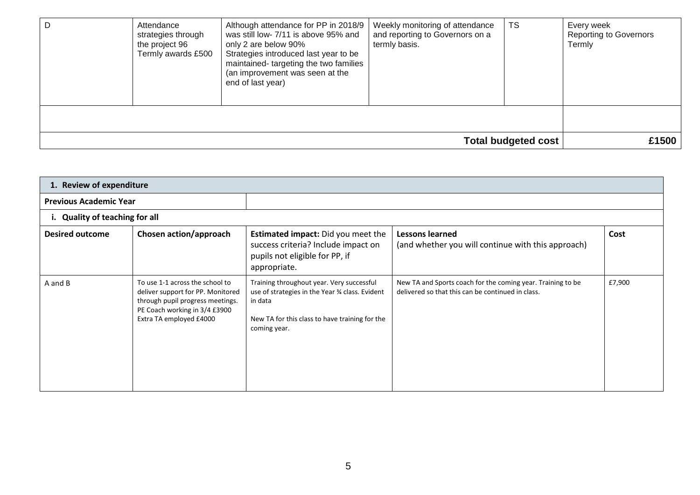| Attendance<br>strategies through<br>the project 96<br>Termly awards £500 | Although attendance for PP in 2018/9<br>was still low- 7/11 is above 95% and<br>only 2 are below 90%<br>Strategies introduced last year to be<br>maintained-targeting the two families<br>(an improvement was seen at the<br>end of last year) | Weekly monitoring of attendance<br>and reporting to Governors on a<br>termly basis. | TS                         | Every week<br><b>Reporting to Governors</b><br>Termly |
|--------------------------------------------------------------------------|------------------------------------------------------------------------------------------------------------------------------------------------------------------------------------------------------------------------------------------------|-------------------------------------------------------------------------------------|----------------------------|-------------------------------------------------------|
|                                                                          |                                                                                                                                                                                                                                                |                                                                                     |                            |                                                       |
|                                                                          |                                                                                                                                                                                                                                                |                                                                                     | <b>Total budgeted cost</b> | £1500                                                 |

| 1. Review of expenditure      |                                                                                                                                                                      |                                                                                                                                                                           |                                                                                                                  |        |  |  |  |  |
|-------------------------------|----------------------------------------------------------------------------------------------------------------------------------------------------------------------|---------------------------------------------------------------------------------------------------------------------------------------------------------------------------|------------------------------------------------------------------------------------------------------------------|--------|--|--|--|--|
| <b>Previous Academic Year</b> |                                                                                                                                                                      |                                                                                                                                                                           |                                                                                                                  |        |  |  |  |  |
|                               | i. Quality of teaching for all                                                                                                                                       |                                                                                                                                                                           |                                                                                                                  |        |  |  |  |  |
| <b>Desired outcome</b>        | Chosen action/approach                                                                                                                                               | <b>Estimated impact:</b> Did you meet the<br>success criteria? Include impact on<br>pupils not eligible for PP, if<br>appropriate.                                        | <b>Lessons learned</b><br>(and whether you will continue with this approach)                                     | Cost   |  |  |  |  |
| A and B                       | To use 1-1 across the school to<br>deliver support for PP. Monitored<br>through pupil progress meetings.<br>PE Coach working in 3/4 £3900<br>Extra TA employed £4000 | Training throughout year. Very successful<br>use of strategies in the Year 34 class. Evident<br>in data<br>New TA for this class to have training for the<br>coming year. | New TA and Sports coach for the coming year. Training to be<br>delivered so that this can be continued in class. | £7,900 |  |  |  |  |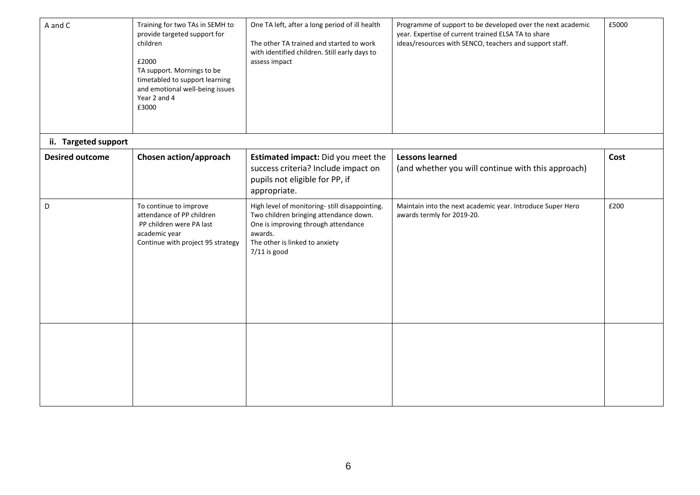| A and C                | Training for two TAs in SEMH to<br>provide targeted support for<br>children<br>£2000<br>TA support. Mornings to be<br>timetabled to support learning<br>and emotional well-being issues<br>Year 2 and 4<br>£3000 | One TA left, after a long period of ill health<br>The other TA trained and started to work<br>with identified children. Still early days to<br>assess impact                                   | Programme of support to be developed over the next academic<br>year. Expertise of current trained ELSA TA to share<br>ideas/resources with SENCO, teachers and support staff. | £5000 |
|------------------------|------------------------------------------------------------------------------------------------------------------------------------------------------------------------------------------------------------------|------------------------------------------------------------------------------------------------------------------------------------------------------------------------------------------------|-------------------------------------------------------------------------------------------------------------------------------------------------------------------------------|-------|
| ii. Targeted support   |                                                                                                                                                                                                                  |                                                                                                                                                                                                |                                                                                                                                                                               |       |
| <b>Desired outcome</b> | Chosen action/approach                                                                                                                                                                                           | Estimated impact: Did you meet the<br>success criteria? Include impact on<br>pupils not eligible for PP, if<br>appropriate.                                                                    | <b>Lessons learned</b><br>(and whether you will continue with this approach)                                                                                                  | Cost  |
| D                      | To continue to improve<br>attendance of PP children<br>PP children were PA last<br>academic year<br>Continue with project 95 strategy                                                                            | High level of monitoring- still disappointing.<br>Two children bringing attendance down.<br>One is improving through attendance<br>awards.<br>The other is linked to anxiety<br>$7/11$ is good | Maintain into the next academic year. Introduce Super Hero<br>awards termly for 2019-20.                                                                                      | £200  |
|                        |                                                                                                                                                                                                                  |                                                                                                                                                                                                |                                                                                                                                                                               |       |